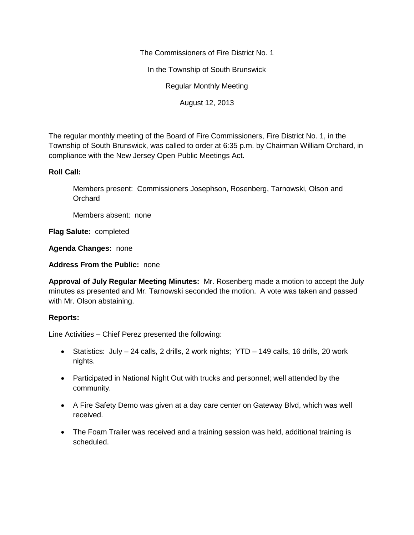The Commissioners of Fire District No. 1

In the Township of South Brunswick

Regular Monthly Meeting

August 12, 2013

The regular monthly meeting of the Board of Fire Commissioners, Fire District No. 1, in the Township of South Brunswick, was called to order at 6:35 p.m. by Chairman William Orchard, in compliance with the New Jersey Open Public Meetings Act.

## **Roll Call:**

Members present: Commissioners Josephson, Rosenberg, Tarnowski, Olson and **Orchard** 

Members absent: none

**Flag Salute:** completed

**Agenda Changes:** none

**Address From the Public:** none

**Approval of July Regular Meeting Minutes:** Mr. Rosenberg made a motion to accept the July minutes as presented and Mr. Tarnowski seconded the motion. A vote was taken and passed with Mr. Olson abstaining.

## **Reports:**

Line Activities – Chief Perez presented the following:

- Statistics: July 24 calls, 2 drills, 2 work nights; YTD 149 calls, 16 drills, 20 work nights.
- Participated in National Night Out with trucks and personnel; well attended by the community.
- A Fire Safety Demo was given at a day care center on Gateway Blvd, which was well received.
- The Foam Trailer was received and a training session was held, additional training is scheduled.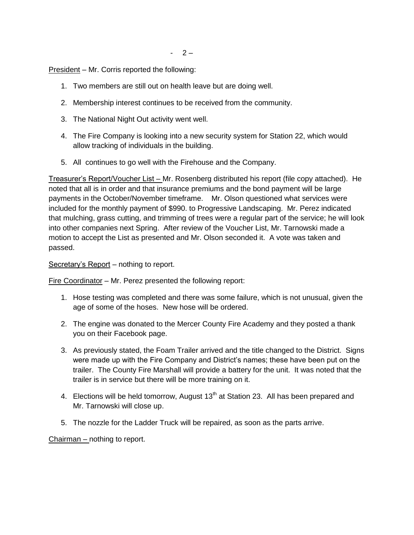President – Mr. Corris reported the following:

- 1. Two members are still out on health leave but are doing well.
- 2. Membership interest continues to be received from the community.
- 3. The National Night Out activity went well.
- 4. The Fire Company is looking into a new security system for Station 22, which would allow tracking of individuals in the building.
- 5. All continues to go well with the Firehouse and the Company.

Treasurer's Report/Voucher List – Mr. Rosenberg distributed his report (file copy attached). He noted that all is in order and that insurance premiums and the bond payment will be large payments in the October/November timeframe. Mr. Olson questioned what services were included for the monthly payment of \$990. to Progressive Landscaping. Mr. Perez indicated that mulching, grass cutting, and trimming of trees were a regular part of the service; he will look into other companies next Spring. After review of the Voucher List, Mr. Tarnowski made a motion to accept the List as presented and Mr. Olson seconded it. A vote was taken and passed.

Secretary's Report – nothing to report.

Fire Coordinator – Mr. Perez presented the following report:

- 1. Hose testing was completed and there was some failure, which is not unusual, given the age of some of the hoses. New hose will be ordered.
- 2. The engine was donated to the Mercer County Fire Academy and they posted a thank you on their Facebook page.
- 3. As previously stated, the Foam Trailer arrived and the title changed to the District. Signs were made up with the Fire Company and District's names; these have been put on the trailer. The County Fire Marshall will provide a battery for the unit. It was noted that the trailer is in service but there will be more training on it.
- 4. Elections will be held tomorrow, August  $13<sup>th</sup>$  at Station 23. All has been prepared and Mr. Tarnowski will close up.
- 5. The nozzle for the Ladder Truck will be repaired, as soon as the parts arrive.

Chairman – nothing to report.